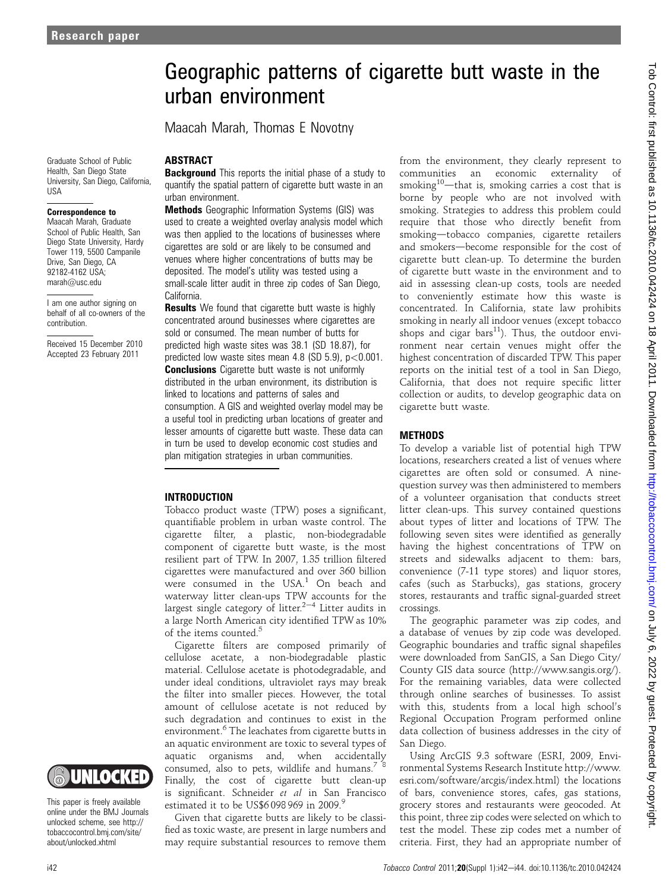Graduate School of Public Health, San Diego State University, San Diego, California, USA

#### Correspondence to

Maacah Marah, Graduate School of Public Health, San Diego State University, Hardy Tower 119, 5500 Campanile Drive, San Diego, CA 92182-4162 USA; marah@usc.edu

I am one author signing on behalf of all co-owners of the contribution.

Received 15 December 2010 Accepted 23 February 2011



This paper is freely available online under the BMJ Journals unlocked scheme, see http:// tobaccocontrol.bmj.com/site/ about/unlocked.xhtml

# **ABSTRACT**

**Background** This reports the initial phase of a study to quantify the spatial pattern of cigarette butt waste in an urban environment.

urban environment

Maacah Marah, Thomas E Novotny

Methods Geographic Information Systems (GIS) was used to create a weighted overlay analysis model which was then applied to the locations of businesses where cigarettes are sold or are likely to be consumed and venues where higher concentrations of butts may be deposited. The model's utility was tested using a small-scale litter audit in three zip codes of San Diego, California.

**Results** We found that cigarette butt waste is highly concentrated around businesses where cigarettes are sold or consumed. The mean number of butts for predicted high waste sites was 38.1 (SD 18.87), for predicted low waste sites mean  $4.8$  (SD  $5.9$ ),  $p < 0.001$ . **Conclusions** Cigarette butt waste is not uniformly distributed in the urban environment, its distribution is linked to locations and patterns of sales and consumption. A GIS and weighted overlay model may be a useful tool in predicting urban locations of greater and lesser amounts of cigarette butt waste. These data can in turn be used to develop economic cost studies and plan mitigation strategies in urban communities.

### INTRODUCTION

Tobacco product waste (TPW) poses a significant, quantifiable problem in urban waste control. The cigarette filter, a plastic, non-biodegradable component of cigarette butt waste, is the most resilient part of TPW. In 2007, 1.35 trillion filtered cigarettes were manufactured and over 360 billion were consumed in the  $USA<sup>1</sup>$  On beach and waterway litter clean-ups TPW accounts for the largest single category of litter.<sup>2-4</sup> Litter audits in a large North American city identified TPW as 10% of the items counted.<sup>5</sup>

Cigarette filters are composed primarily of cellulose acetate, a non-biodegradable plastic material. Cellulose acetate is photodegradable, and under ideal conditions, ultraviolet rays may break the filter into smaller pieces. However, the total amount of cellulose acetate is not reduced by such degradation and continues to exist in the environment.<sup>6</sup> The leachates from cigarette butts in an aquatic environment are toxic to several types of aquatic organisms and, when accidentally consumed, also to pets, wildlife and humans.<sup>78</sup> Finally, the cost of cigarette butt clean-up is significant. Schneider et al in San Francisco estimated it to be US\$6098969 in  $2009.9$ 

Given that cigarette butts are likely to be classified as toxic waste, are present in large numbers and may require substantial resources to remove them from the environment, they clearly represent to communities an economic externality of smoking<sup>10</sup>—that is, smoking carries a cost that is borne by people who are not involved with smoking. Strategies to address this problem could require that those who directly benefit from smoking-tobacco companies, cigarette retailers and smokers-become responsible for the cost of cigarette butt clean-up. To determine the burden of cigarette butt waste in the environment and to aid in assessing clean-up costs, tools are needed to conveniently estimate how this waste is concentrated. In California, state law prohibits smoking in nearly all indoor venues (except tobacco shops and cigar bars $^{11}$ ). Thus, the outdoor environment near certain venues might offer the highest concentration of discarded TPW. This paper reports on the initial test of a tool in San Diego, California, that does not require specific litter collection or audits, to develop geographic data on cigarette butt waste.

#### **METHODS**

Geographic patterns of cigarette butt waste in the

To develop a variable list of potential high TPW locations, researchers created a list of venues where cigarettes are often sold or consumed. A ninequestion survey was then administered to members of a volunteer organisation that conducts street litter clean-ups. This survey contained questions about types of litter and locations of TPW. The following seven sites were identified as generally having the highest concentrations of TPW on streets and sidewalks adjacent to them: bars, convenience (7-11 type stores) and liquor stores, cafes (such as Starbucks), gas stations, grocery stores, restaurants and traffic signal-guarded street crossings.

The geographic parameter was zip codes, and a database of venues by zip code was developed. Geographic boundaries and traffic signal shapefiles were downloaded from SanGIS, a San Diego City/ County GIS data source (http://www.sangis.org/). For the remaining variables, data were collected through online searches of businesses. To assist with this, students from a local high school's Regional Occupation Program performed online data collection of business addresses in the city of San Diego.

Using ArcGIS 9.3 software (ESRI, 2009, Environmental Systems Research Institute http://www. esri.com/software/arcgis/index.html) the locations of bars, convenience stores, cafes, gas stations, grocery stores and restaurants were geocoded. At this point, three zip codes were selected on which to test the model. These zip codes met a number of criteria. First, they had an appropriate number of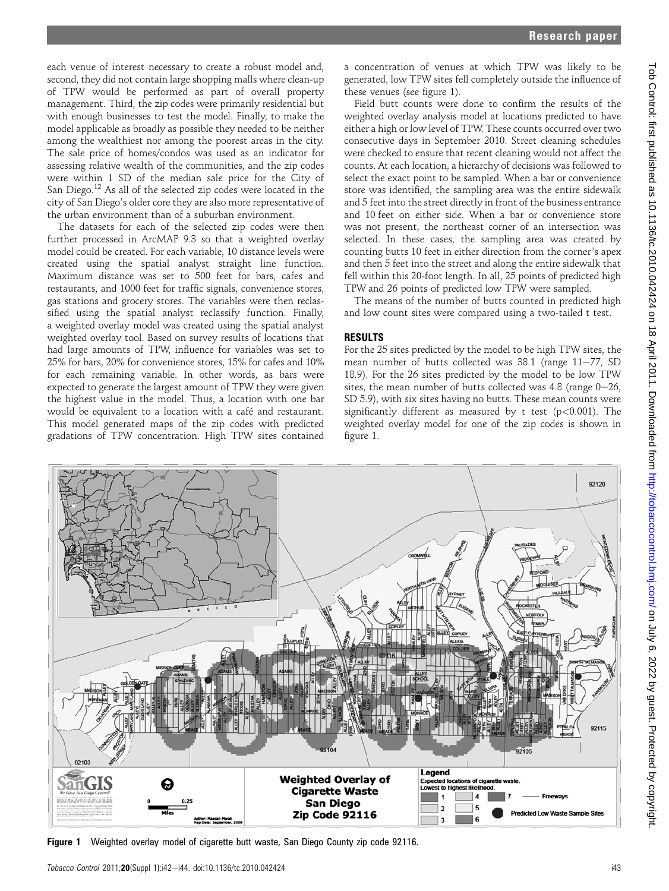each venue of interest necessary to create a robust model and, second, they did not contain large shopping malls where clean-up of TPW would be performed as part of overall property management. Third, the zip codes were primarily residential but with enough businesses to test the model. Finally, to make the model applicable as broadly as possible they needed to be neither among the wealthiest nor among the poorest areas in the city. The sale price of homes/condos was used as an indicator for assessing relative wealth of the communities, and the zip codes were within 1 SD of the median sale price for the City of San Diego.<sup>12</sup> As all of the selected zip codes were located in the city of San Diego's older core they are also more representative of the urban environment than of a suburban environment.

The datasets for each of the selected zip codes were then further processed in ArcMAP 9.3 so that a weighted overlay model could be created. For each variable, 10 distance levels were created using the spatial analyst straight line function. Maximum distance was set to 500 feet for bars, cafes and restaurants, and 1000 feet for traffic signals, convenience stores, gas stations and grocery stores. The variables were then reclassified using the spatial analyst reclassify function. Finally, a weighted overlay model was created using the spatial analyst weighted overlay tool. Based on survey results of locations that had large amounts of TPW, influence for variables was set to 25% for bars, 20% for convenience stores, 15% for cafes and 10% for each remaining variable. In other words, as bars were expected to generate the largest amount of TPW they were given the highest value in the model. Thus, a location with one bar would be equivalent to a location with a café and restaurant. This model generated maps of the zip codes with predicted gradations of TPW concentration. High TPW sites contained

a concentration of venues at which TPW was likely to be generated, low TPW sites fell completely outside the influence of these venues (see figure 1).

Field butt counts were done to confirm the results of the weighted overlay analysis model at locations predicted to have either a high or low level of TPW. These counts occurred over two consecutive days in September 2010. Street cleaning schedules were checked to ensure that recent cleaning would not affect the counts. At each location, a hierarchy of decisions was followed to select the exact point to be sampled. When a bar or convenience store was identified, the sampling area was the entire sidewalk and 5 feet into the street directly in front of the business entrance and 10 feet on either side. When a bar or convenience store was not present, the northeast corner of an intersection was selected. In these cases, the sampling area was created by counting butts 10 feet in either direction from the corner's apex and then 5 feet into the street and along the entire sidewalk that fell within this 20-foot length. In all, 25 points of predicted high TPW and 26 points of predicted low TPW were sampled.

The means of the number of butts counted in predicted high and low count sites were compared using a two-tailed t test.

# RESULTS

For the 25 sites predicted by the model to be high TPW sites, the mean number of butts collected was  $38.1$  (range  $11-77$ , SD 18.9). For the 26 sites predicted by the model to be low TPW sites, the mean number of butts collected was  $4.8$  (range  $0-26$ , SD 5.9), with six sites having no butts. These mean counts were significantly different as measured by t test ( $p$ <0.001). The weighted overlay model for one of the zip codes is shown in figure 1.



Figure 1 Weighted overlay model of cigarette butt waste, San Diego County zip code 92116.